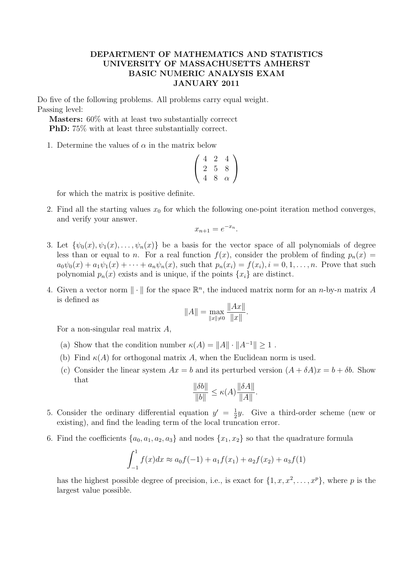## DEPARTMENT OF MATHEMATICS AND STATISTICS UNIVERSITY OF MASSACHUSETTS AMHERST BASIC NUMERIC ANALYSIS EXAM JANUARY 2011

Do five of the following problems. All problems carry equal weight. Passing level:

Masters: 60% with at least two substantially correcct PhD: 75% with at least three substantially correct.

1. Determine the values of  $\alpha$  in the matrix below

$$
\left(\begin{array}{ccc}\n4 & 2 & 4 \\
2 & 5 & 8 \\
4 & 8 & \alpha\n\end{array}\right)
$$

for which the matrix is positive definite.

2. Find all the starting values  $x_0$  for which the following one-point iteration method converges, and verify your answer.

$$
x_{n+1} = e^{-x_n}.
$$

- 3. Let  $\{\psi_0(x), \psi_1(x), \ldots, \psi_n(x)\}\)$  be a basis for the vector space of all polynomials of degree less than or equal to n. For a real function  $f(x)$ , consider the problem of finding  $p_n(x) =$  $a_0\psi_0(x) + a_1\psi_1(x) + \cdots + a_n\psi_n(x)$ , such that  $p_n(x_i) = f(x_i), i = 0, 1, \ldots, n$ . Prove that such polynomial  $p_n(x)$  exists and is unique, if the points  $\{x_i\}$  are distinct.
- 4. Given a vector norm  $\|\cdot\|$  for the space  $\mathbb{R}^n$ , the induced matrix norm for an *n*-by-*n* matrix A is defined as

$$
||A|| = \max_{||x|| \neq 0} \frac{||Ax||}{||x||}.
$$

For a non-singular real matrix A,

- (a) Show that the condition number  $\kappa(A) = ||A|| \cdot ||A^{-1}|| \ge 1$ .
- (b) Find  $\kappa(A)$  for orthogonal matrix A, when the Euclidean norm is used.
- (c) Consider the linear system  $Ax = b$  and its perturbed version  $(A + \delta A)x = b + \delta b$ . Show that

$$
\frac{\|\delta b\|}{\|b\|} \le \kappa(A) \frac{\|\delta A\|}{\|A\|}.
$$

- 5. Consider the ordinary differential equation  $y' = \frac{1}{2}$  $\frac{1}{2}y$ . Give a third-order scheme (new or existing), and find the leading term of the local truncation error.
- 6. Find the coefficients  $\{a_0, a_1, a_2, a_3\}$  and nodes  $\{x_1, x_2\}$  so that the quadrature formula

$$
\int_{-1}^{1} f(x)dx \approx a_0 f(-1) + a_1 f(x_1) + a_2 f(x_2) + a_3 f(1)
$$

has the highest possible degree of precision, i.e., is exact for  $\{1, x, x^2, \ldots, x^p\}$ , where p is the largest value possible.